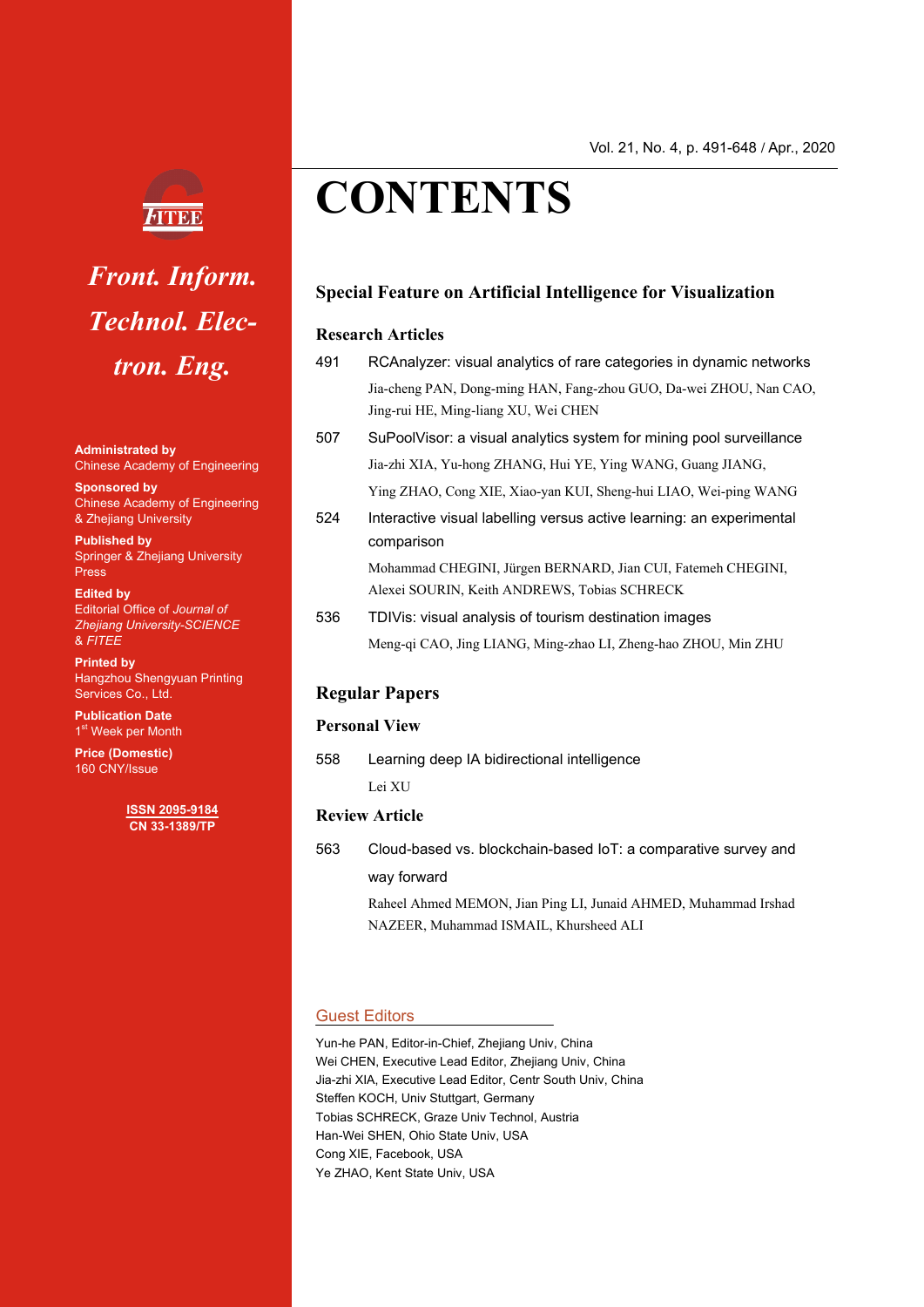

# *Front. Inform. Technol. Electron. Eng.*

**Administrated by** Chinese Academy of Engineering

**Sponsored by** Chinese Academy of Engineering & Zhejiang University

**Published by**  Springer & Zhejiang University **Press** 

**Edited by**  Editorial Office of *Journal of Zhejiang University-SCIENCE*  & *FITEE*

**Printed by** Hangzhou Shengyuan Printing Services Co., Ltd.

**Publication Date** 1<sup>st</sup> Week per Month

**Price (Domestic)**  160 CNY/Issue

> **ISSN 2095-9184 CN 33-1389/TP**

# **CONTENTS**

# **Special Feature on Artificial Intelligence for Visualization**

#### **Research Articles**

| 491 | RCAnalyzer: visual analytics of rare categories in dynamic networks |
|-----|---------------------------------------------------------------------|
|     | Jia-cheng PAN, Dong-ming HAN, Fang-zhou GUO, Da-wei ZHOU, Nan CAO,  |
|     | Jing-rui HE, Ming-liang XU, Wei CHEN                                |

- 507 SuPoolVisor: a visual analytics system for mining pool surveillance Jia-zhi XIA, Yu-hong ZHANG, Hui YE, Ying WANG, Guang JIANG, Ying ZHAO, Cong XIE, Xiao-yan KUI, Sheng-hui LIAO, Wei-ping WANG
- 524 Interactive visual labelling versus active learning: an experimental comparison

Mohammad CHEGINI, Jürgen BERNARD, Jian CUI, Fatemeh CHEGINI, Alexei SOURIN, Keith ANDREWS, Tobias SCHRECK

536 TDIVis: visual analysis of tourism destination images Meng-qi CAO, Jing LIANG, Ming-zhao LI, Zheng-hao ZHOU, Min ZHU

# **Regular Papers**

#### **Personal View**

558 Learning deep IA bidirectional intelligence

Lei XU

# **Review Article**

563 Cloud-based vs. blockchain-based IoT: a comparative survey and way forward

> Raheel Ahmed MEMON, Jian Ping LI, Junaid AHMED, Muhammad Irshad NAZEER, Muhammad ISMAIL, Khursheed ALI

# Guest Editors

Yun-he PAN, Editor-in-Chief, Zhejiang Univ, China Wei CHEN, Executive Lead Editor, Zhejiang Univ, China Jia-zhi XIA, Executive Lead Editor, Centr South Univ, China Steffen KOCH, Univ Stuttgart, Germany Tobias SCHRECK, Graze Univ Technol, Austria Han-Wei SHEN, Ohio State Univ, USA Cong XIE, Facebook, USA Ye ZHAO, Kent State Univ, USA